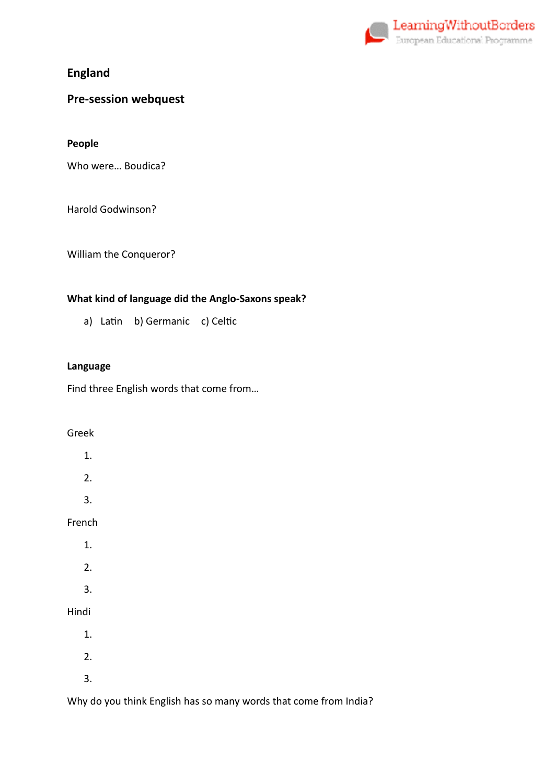

**England** 

# **Pre-session webquest**

**People** 

Who were… Boudica?

Harold Godwinson?

William the Conqueror?

## **What kind of language did the Anglo-Saxons speak?**

a) Latin b) Germanic c) Celtic

#### **Language**

Find three English words that come from…

## Greek

|        | 1. |  |  |
|--------|----|--|--|
|        | 2. |  |  |
|        | 3. |  |  |
| French |    |  |  |
|        | 1. |  |  |
|        | 2. |  |  |
|        | 3. |  |  |
| Hindi  |    |  |  |
|        | 1. |  |  |
|        | 2. |  |  |
|        | 3. |  |  |

Why do you think English has so many words that come from India?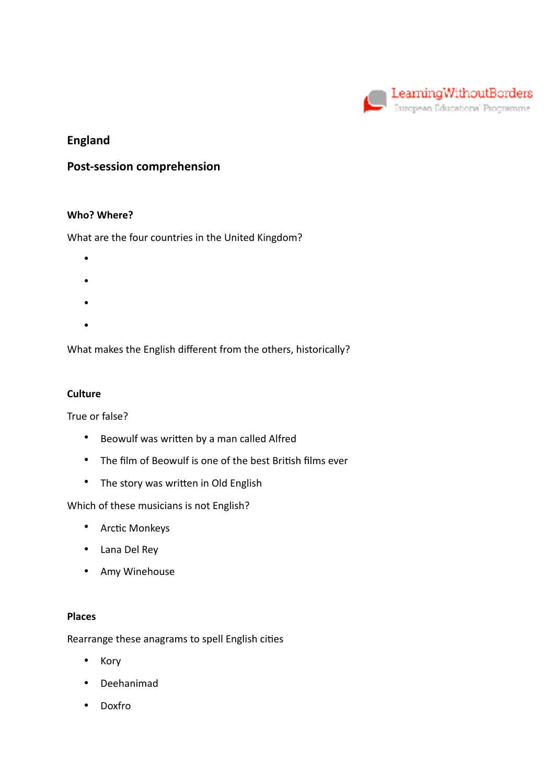

# **England**

## **Post-session comprehension**

### **Who? Where?**

What are the four countries in the United Kingdom?

- •
- •
- •
- 
- •

What makes the English different from the others, historically?

### **Culture**

True or false?

- Beowulf was written by a man called Alfred
- The film of Beowulf is one of the best British films ever
- The story was written in Old English

Which of these musicians is not English?

- Arctic Monkeys
- Lana Del Rey
- Amy Winehouse

#### **Places**

Rearrange these anagrams to spell English cities

- Kory
- Deehanimad
- Doxfro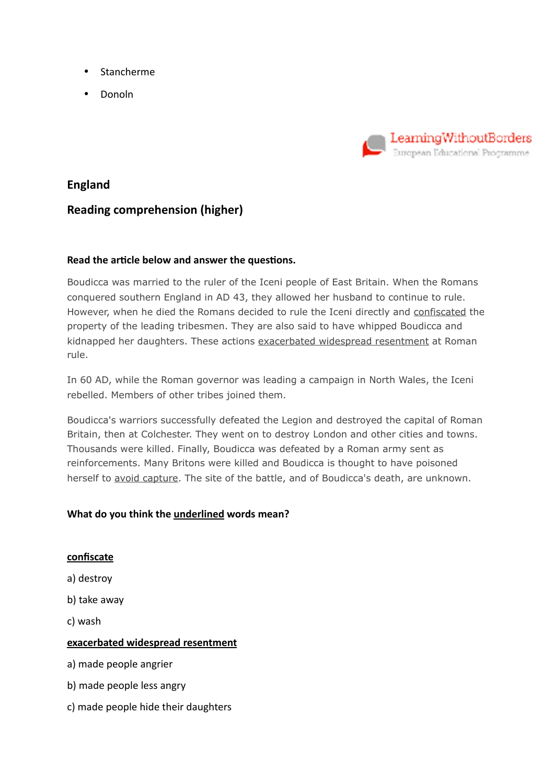- Stancherme
- Donoln



## **England**

# **Reading comprehension (higher)**

## Read the article below and answer the questions.

Boudicca was married to the ruler of the Iceni people of East Britain. When the Romans conquered southern England in AD 43, they allowed her husband to continue to rule. However, when he died the Romans decided to rule the Iceni directly and confiscated the property of the leading tribesmen. They are also said to have whipped Boudicca and kidnapped her daughters. These actions exacerbated widespread resentment at Roman rule.

In 60 AD, while the Roman governor was leading a campaign in North Wales, the Iceni rebelled. Members of other tribes joined them.

Boudicca's warriors successfully defeated the Legion and destroyed the capital of Roman Britain, then at Colchester. They went on to destroy London and other cities and towns. Thousands were killed. Finally, Boudicca was defeated by a Roman army sent as reinforcements. Many Britons were killed and Boudicca is thought to have poisoned herself to avoid capture. The site of the battle, and of Boudicca's death, are unknown.

## **What do you think the underlined words mean?**

## **confiscate**

- a) destroy
- b) take away
- c) wash

## **exacerbated widespread resentment**

- a) made people angrier
- b) made people less angry
- c) made people hide their daughters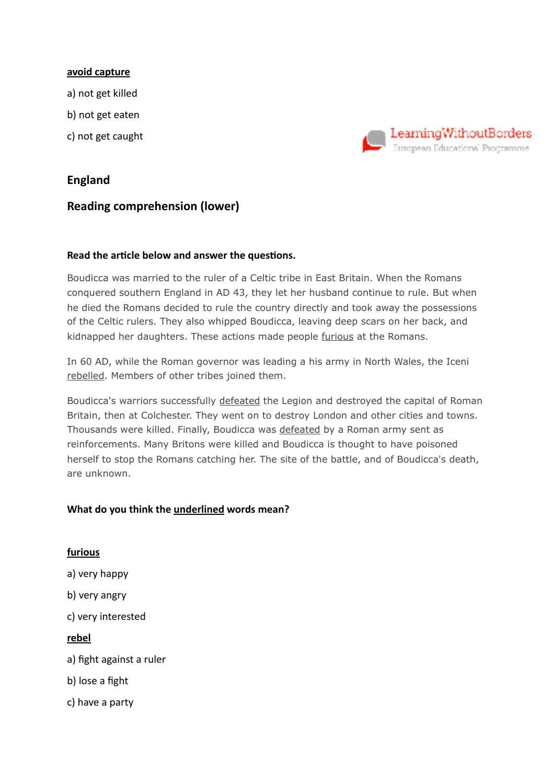#### **avoid capture**

- a) not get killed
- b) not get eaten
- c) not get caught

## **England**

## **Reading comprehension (lower)**

## Read the article below and answer the questions.

Boudicca was married to the ruler of a Celtic tribe in East Britain. When the Romans conquered southern England in AD 43, they let her husband continue to rule. But when he died the Romans decided to rule the country directly and took away the possessions of the Celtic rulers. They also whipped Boudicca, leaving deep scars on her back, and kidnapped her daughters. These actions made people furious at the Romans.

LearningWithoutBorders European Educational Programme

In 60 AD, while the Roman governor was leading a his army in North Wales, the Iceni rebelled. Members of other tribes joined them.

Boudicca's warriors successfully defeated the Legion and destroyed the capital of Roman Britain, then at Colchester. They went on to destroy London and other cities and towns. Thousands were killed. Finally, Boudicca was defeated by a Roman army sent as reinforcements. Many Britons were killed and Boudicca is thought to have poisoned herself to stop the Romans catching her. The site of the battle, and of Boudicca's death, are unknown.

## **What do you think the underlined words mean?**

**furious**  a) very happy b) very angry c) very interested **rebel**  a) fight against a ruler b) lose a fight c) have a party